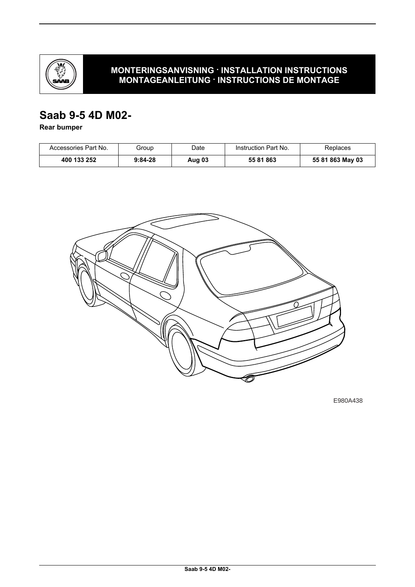

## **MONTERINGSANVISNING · INSTALLATION INSTRUCTIONS MONTAGEANLEITUNG · INSTRUCTIONS DE MONTAGE**

# **Saab 9-5 4D M02-**

**Rear bumper**

| Accessories Part No. | Group     | Date   | Instruction Part No. | Replaces         |
|----------------------|-----------|--------|----------------------|------------------|
| 400 133 252          | $9:84-28$ | Aug 03 | 55 81 863            | 55 81 863 May 03 |



E980A438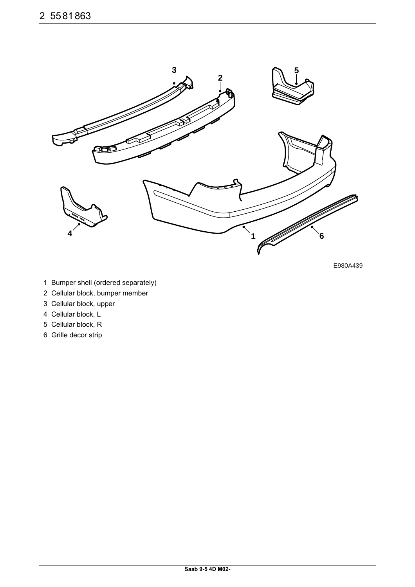

E980A439

- 1 Bumper shell (ordered separately)
- 2 Cellular block, bumper member
- 3 Cellular block, upper
- 4 Cellular block, L
- 5 Cellular block, R
- 6 Grille decor strip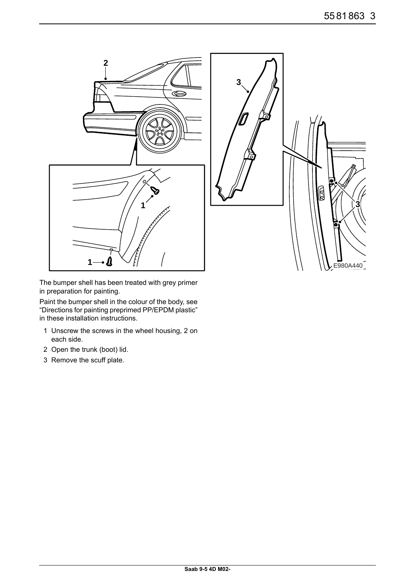

The bumper shell has been treated with grey primer in preparation for painting.

Paint the bumper shell in the colour of the body, see "Directions for painting preprimed PP/EPDM plastic" in these installation instructions.

- 1 Unscrew the screws in the wheel housing, 2 on each side.
- 2 Open the trunk (boot) lid.
- 3 Remove the scuff plate.

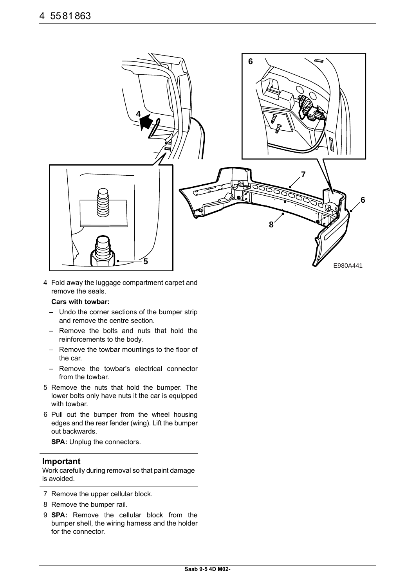

4 Fold away the luggage compartment carpet and remove the seals.

#### **Cars with towbar:**

- Undo the corner sections of the bumper strip and remove the centre section.
- Remove the bolts and nuts that hold the reinforcements to the body.
- Remove the towbar mountings to the floor of the car.
- Remove the towbar's electrical connector from the towbar.
- 5 Remove the nuts that hold the bumper. The lower bolts only have nuts it the car is equipped with towbar.
- 6 Pull out the bumper from the wheel housing edges and the rear fender (wing). Lift the bumper out backwards.

**SPA:** Unplug the connectors.

#### **Important**

Work carefully during removal so that paint damage is avoided.

- 7 Remove the upper cellular block.
- 8 Remove the bumper rail.
- 9 **SPA:** Remove the cellular block from the bumper shell, the wiring harness and the holder for the connector.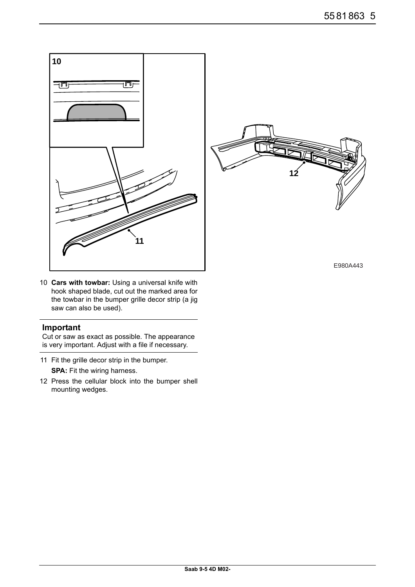

10 **Cars with towbar:** Using a universal knife with hook shaped blade, cut out the marked area for the towbar in the bumper grille decor strip (a jig saw can also be used).

## **Important**

Cut or saw as exact as possible. The appearance is very important. Adjust with a file if necessary.

- 11 Fit the grille decor strip in the bumper. **SPA:** Fit the wiring harness.
- 12 Press the cellular block into the bumper shell mounting wedges.



E980A443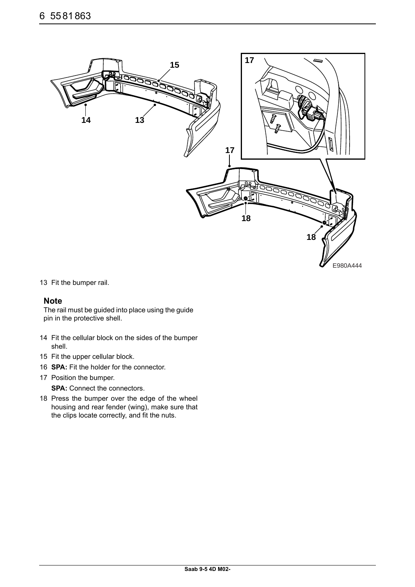

13 Fit the bumper rail.

## **Note**

The rail must be guided into place using the guide pin in the protective shell.

- 14 Fit the cellular block on the sides of the bumper shell.
- 15 Fit the upper cellular block.
- 16 **SPA:** Fit the holder for the connector.
- 17 Position the bumper.

**SPA:** Connect the connectors.

18 Press the bumper over the edge of the wheel housing and rear fender (wing), make sure that the clips locate correctly, and fit the nuts.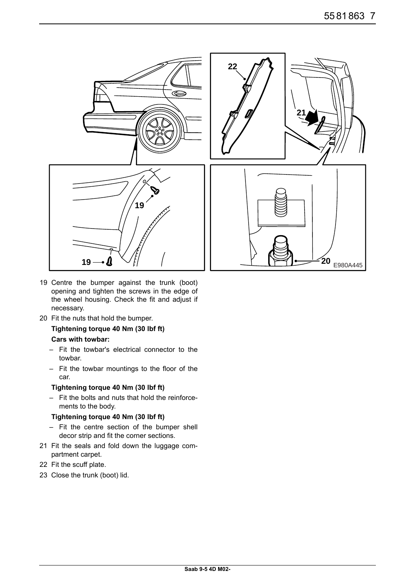

- 19 Centre the bumper against the trunk (boot) opening and tighten the screws in the edge of the wheel housing. Check the fit and adjust if necessary.
- 20 Fit the nuts that hold the bumper.

## **Tightening torque 40 Nm (30 lbf ft) Cars with towbar:**

- Fit the towbar's electrical connector to the towbar.
- Fit the towbar mountings to the floor of the car.

#### **Tightening torque 40 Nm (30 lbf ft)**

– Fit the bolts and nuts that hold the reinforcements to the body.

### **Tightening torque 40 Nm (30 lbf ft)**

- Fit the centre section of the bumper shell decor strip and fit the corner sections.
- 21 Fit the seals and fold down the luggage compartment carpet.
- 22 Fit the scuff plate.
- 23 Close the trunk (boot) lid.